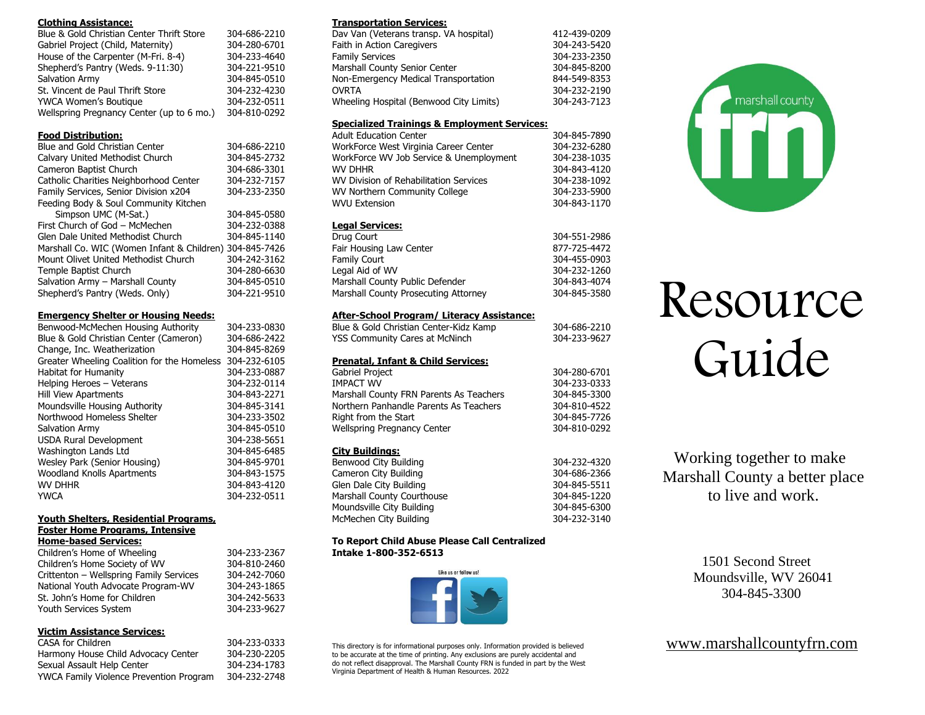#### **Clothing Assistance:**

| Blue & Gold Christian Center Thrift Store | 304-686-2210 |
|-------------------------------------------|--------------|
| Gabriel Project (Child, Maternity)        | 304-280-6701 |
| House of the Carpenter (M-Fri. 8-4)       | 304-233-4640 |
| Shepherd's Pantry (Weds. 9-11:30)         | 304-221-9510 |
| Salvation Army                            | 304-845-0510 |
| St. Vincent de Paul Thrift Store          | 304-232-4230 |
| YWCA Women's Boutique                     | 304-232-0511 |
| Wellspring Pregnancy Center (up to 6 mo.) | 304-810-0292 |

# **Food Distribution:**

| Blue and Gold Christian Center                          | 304-686-2210 |
|---------------------------------------------------------|--------------|
| Calvary United Methodist Church                         | 304-845-2732 |
| Cameron Baptist Church                                  | 304-686-3301 |
| Catholic Charities Neighborhood Center                  | 304-232-7157 |
| Family Services, Senior Division x204                   | 304-233-2350 |
| Feeding Body & Soul Community Kitchen                   |              |
| Simpson UMC (M-Sat.)                                    | 304-845-0580 |
| First Church of God - McMechen                          | 304-232-0388 |
| Glen Dale United Methodist Church                       | 304-845-1140 |
| Marshall Co. WIC (Women Infant & Children) 304-845-7426 |              |
| Mount Olivet United Methodist Church                    | 304-242-3162 |
| Temple Baptist Church                                   | 304-280-6630 |
| Salvation Army - Marshall County                        | 304-845-0510 |
| Shepherd's Pantry (Weds. Only)                          | 304-221-9510 |
|                                                         |              |

### **Emergency Shelter or Housing Needs:**

| Benwood-McMechen Housing Authority          | 304-233-0830 |
|---------------------------------------------|--------------|
| Blue & Gold Christian Center (Cameron)      | 304-686-2422 |
| Change, Inc. Weatherization                 | 304-845-8269 |
| Greater Wheeling Coalition for the Homeless | 304-232-6105 |
| Habitat for Humanity                        | 304-233-0887 |
| Helping Heroes - Veterans                   | 304-232-0114 |
| <b>Hill View Apartments</b>                 | 304-843-2271 |
| Moundsville Housing Authority               | 304-845-3141 |
| Northwood Homeless Shelter                  | 304-233-3502 |
| Salvation Army                              | 304-845-0510 |
| <b>USDA Rural Development</b>               | 304-238-5651 |
| Washington Lands Ltd                        | 304-845-6485 |
| Wesley Park (Senior Housing)                | 304-845-9701 |
| <b>Woodland Knolls Apartments</b>           | 304-843-1575 |
| <b>WV DHHR</b>                              | 304-843-4120 |
| YWCA                                        | 304-232-0511 |

# **Youth Shelters, Residential Programs,**

**Foster Home Programs, Intensive Home-based Services:**

| Children's Home of Wheeling             | 304-233-2367 |
|-----------------------------------------|--------------|
| Children's Home Society of WV           | 304-810-2460 |
| Crittenton - Wellspring Family Services | 304-242-7060 |
| National Youth Advocate Program-WV      | 304-243-1865 |
| St. John's Home for Children            | 304-242-5633 |
| Youth Services System                   | 304-233-9627 |

# **Victim Assistance Services:**

| CASA for Children                       | 304-233-0333 |
|-----------------------------------------|--------------|
| Harmony House Child Advocacy Center     | 304-230-2205 |
| Sexual Assault Help Center              | 304-234-1783 |
| YWCA Family Violence Prevention Program | 304-232-2748 |

#### **Transportation Services:**

| Dav Van (Veterans transp. VA hospital)  | 412-439-0209 |
|-----------------------------------------|--------------|
| Faith in Action Caregivers              | 304-243-5420 |
| <b>Family Services</b>                  | 304-233-2350 |
| Marshall County Senior Center           | 304-845-8200 |
| Non-Emergency Medical Transportation    | 844-549-8353 |
| <b>OVRTA</b>                            | 304-232-2190 |
| Wheeling Hospital (Benwood City Limits) | 304-243-7123 |

# **Specialized Trainings & Employment Services:**

| <b>Adult Education Center</b>           | 304-845-7890 |
|-----------------------------------------|--------------|
| WorkForce West Virginia Career Center   | 304-232-6280 |
| WorkForce WV Job Service & Unemployment | 304-238-1035 |
| WV DHHR                                 | 304-843-4120 |
| WV Division of Rehabilitation Services  | 304-238-1092 |
| WV Northern Community College           | 304-233-5900 |
| <b>WVU Extension</b>                    | 304-843-1170 |
|                                         |              |

# **Legal Services:**

| Drua Court                           | 304-551-2986 |
|--------------------------------------|--------------|
| Fair Housing Law Center              | 877-725-4472 |
| Family Court                         | 304-455-0903 |
| Legal Aid of WV                      | 304-232-1260 |
| Marshall County Public Defender      | 304-843-4074 |
| Marshall County Prosecuting Attorney | 304-845-3580 |
|                                      |              |

# **After-School Program/ Literacy Assistance:**

| Blue & Gold Christian Center-Kidz Kamp        | 304-686-2210 |
|-----------------------------------------------|--------------|
| <b>YSS Community Cares at McNinch</b>         | 304-233-9627 |
|                                               |              |
| <b>Prenatal, Infant &amp; Child Services:</b> |              |
| <b>Gabriel Project</b>                        | 304-280-6701 |
| <b>IMPACT WV</b>                              | 304-233-0333 |
| Marshall County FRN Parents As Teachers       | 304-845-3300 |
| Northern Panhandle Parents As Teachers        | 304-810-4522 |
| Right from the Start                          | 304-845-7726 |
| Wellspring Pregnancy Center                   | 304-810-0292 |
|                                               |              |
| <b>City Buildings:</b>                        |              |
| Benwood City Building                         | 304-232-4320 |
| Cameron City Building                         | 304-686-2366 |
| Glen Dale City Building                       | 304-845-5511 |

| Cameron City Building      | 304-686-2366 |
|----------------------------|--------------|
| Glen Dale City Building    | 304-845-5511 |
| Marshall County Courthouse | 304-845-1220 |
| Moundsville City Building  | 304-845-6300 |
| McMechen City Building     | 304-232-3140 |
|                            |              |

#### **To Report Child Abuse Please Call Centralized Intake 1-800-352-6513**



This directory is for informational purposes only. Information provided is believed to be accurate at the time of printing. Any exclusions are purely accidental and do not reflect disapproval. The Marshall County FRN is funded in part by the West Virginia Department of Health & Human Resources. 2022



# Resource Guide

Working together to make Marshall County a better place to live and work.

> 1501 Second Street Moundsville, WV 26041 304-845-3300

[www.marshallcountyfrn.com](http://www.marshallcountyfrn.com/)